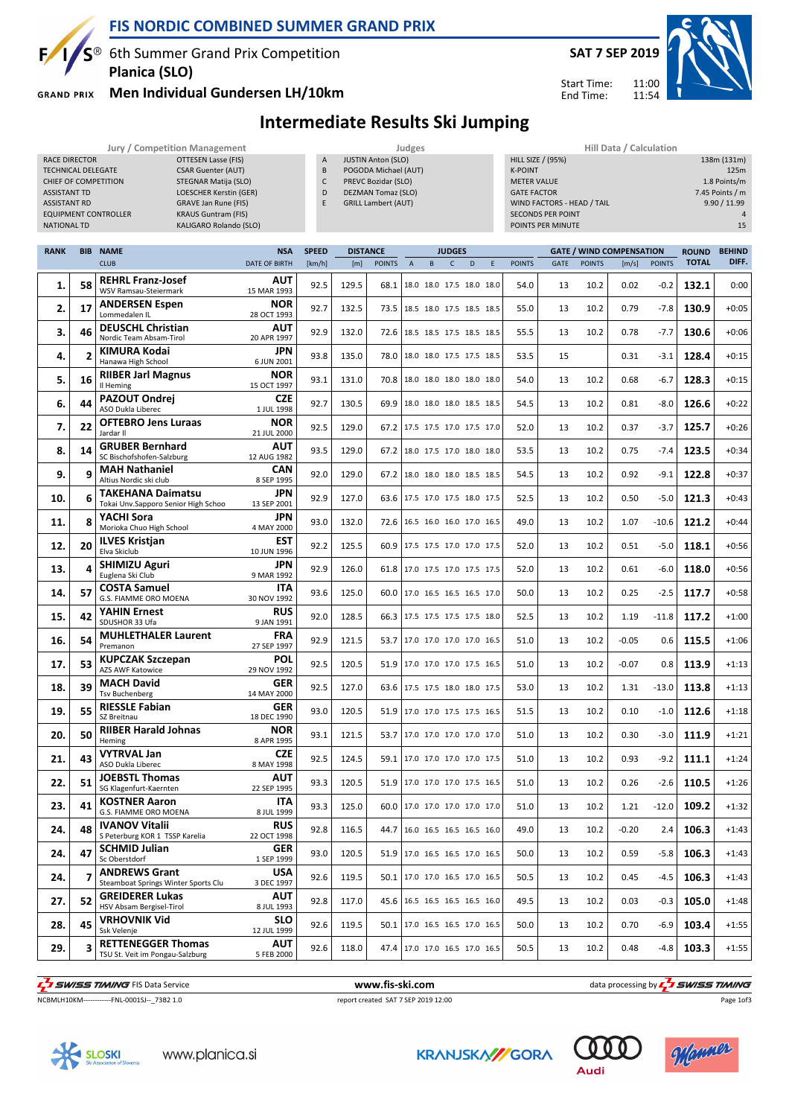

### **FIS NORDIC COMBINED SUMMER GRAND PRIX**

 $S^{\circledast}$  6th Summer Grand Prix Competition **Planica (SLO)**

**GRAND PRIX** 

### **Men Individual Gundersen LH/10km**



Start Time: End Time:

## **Intermediate Results Ski Jumping**

#### **Jury / Competition Management Judges Hill Data / Calculation** RACE DIRECTOR **OTTESEN Lasse (FIS)** TECHNICAL DELEGATE CSAR Guenter (AUT) CHIEF OF COMPETITION STEGNAR Matija (SLO) ASSISTANT TD LOESCHER Kerstin (GER) ASSISTANT RD GRAVE Jan Rune (FIS)<br>EQUIPMENT CONTROLLER KRAUS Guntram (FIS) **EQUIPMENT CONTROLLER** NATIONAL TD KALIGARO Rolando (SLO) A JUSTIN Anton (SLO) B POGODA Michael (AUT) C PREVC Bozidar (SLO) D DEZMAN Tomaz (SLO) E GRILL Lambert (AUT) HILL SIZE / (95%) 138m (131m) K-POINT 125m METER VALUE 1.8 Points/m GATE FACTOR **6 GATE FACTOR 7.45 Points / m** WIND FACTORS - HEAD / TAIL 9.90 / 11.99 SECONDS PER POINT 4 POINTS PER MINUTE 15

| <b>RANK</b> |                | <b>BIB NAME</b>                                                 | <b>NSA</b>                | <b>SPEED</b> | <b>DISTANCE</b> |               | <b>JUDGES</b>  |                                 |              |   |   | <b>GATE / WIND COMPENSATION</b> |             |               |         | <b>BEHIND</b> |              |         |
|-------------|----------------|-----------------------------------------------------------------|---------------------------|--------------|-----------------|---------------|----------------|---------------------------------|--------------|---|---|---------------------------------|-------------|---------------|---------|---------------|--------------|---------|
|             |                | <b>CLUB</b>                                                     | <b>DATE OF BIRTH</b>      | [km/h]       | [m]             | <b>POINTS</b> | $\overline{A}$ | B                               | $\mathsf{C}$ | D | E | <b>POINTS</b>                   | <b>GATE</b> | <b>POINTS</b> | [m/s]   | <b>POINTS</b> | <b>TOTAL</b> | DIFF.   |
| 1.          | 58             | <b>REHRL Franz-Josef</b><br>WSV Ramsau-Steiermark               | AUT<br>15 MAR 1993        | 92.5         | 129.5           | 68.1          |                | 18.0 18.0 17.5 18.0 18.0        |              |   |   | 54.0                            | 13          | 10.2          | 0.02    | $-0.2$        | 132.1        | 0:00    |
| 2.          | 17             | <b>ANDERSEN Espen</b><br>Lommedalen IL                          | <b>NOR</b><br>28 OCT 1993 | 92.7         | 132.5           | 73.5          |                | 18.5 18.0 17.5 18.5 18.5        |              |   |   | 55.0                            | 13          | 10.2          | 0.79    | $-7.8$        | 130.9        | $+0:05$ |
| з.          | 46             | <b>DEUSCHL Christian</b><br>Nordic Team Absam-Tirol             | AUT<br>20 APR 1997        | 92.9         | 132.0           | 72.6          |                | 18.5 18.5 17.5 18.5 18.5        |              |   |   | 55.5                            | 13          | 10.2          | 0.78    | -7.7          | 130.6        | $+0:06$ |
| 4.          | $\overline{2}$ | KIMURA Kodai<br>Hanawa High School                              | JPN<br>6 JUN 2001         | 93.8         | 135.0           | 78.0          |                | 18.0 18.0 17.5 17.5 18.5        |              |   |   | 53.5                            | 15          |               | 0.31    | -3.1          | 128.4        | $+0:15$ |
| 5.          | 16             | <b>RIIBER Jarl Magnus</b><br>Il Heming                          | <b>NOR</b><br>15 OCT 1997 | 93.1         | 131.0           | 70.8          |                | 18.0 18.0 18.0 18.0 18.0        |              |   |   | 54.0                            | 13          | 10.2          | 0.68    | -6.7          | 128.3        | $+0:15$ |
| 6.          | 44             | <b>PAZOUT Ondrej</b><br>ASO Dukla Liberec                       | <b>CZE</b><br>1 JUL 1998  | 92.7         | 130.5           | 69.9          |                | 18.0 18.0 18.0 18.5 18.5        |              |   |   | 54.5                            | 13          | 10.2          | 0.81    | $-8.0$        | 126.6        | $+0:22$ |
| 7.          | 22             | <b>OFTEBRO Jens Luraas</b><br>Jardar II                         | <b>NOR</b><br>21 JUL 2000 | 92.5         | 129.0           | 67.2          |                | 17.5 17.5 17.0 17.5 17.0        |              |   |   | 52.0                            | 13          | 10.2          | 0.37    | $-3.7$        | 125.7        | $+0:26$ |
| 8.          | 14             | <b>GRUBER Bernhard</b><br>SC Bischofshofen-Salzburg             | ΑUΤ<br>12 AUG 1982        | 93.5         | 129.0           | 67.2          |                | 18.0 17.5 17.0 18.0 18.0        |              |   |   | 53.5                            | 13          | 10.2          | 0.75    | $-7.4$        | 123.5        | $+0:34$ |
| 9.          | 9              | <b>MAH Nathaniel</b><br>Altius Nordic ski club                  | <b>CAN</b><br>8 SEP 1995  | 92.0         | 129.0           | 67.2          |                | 18.0 18.0 18.0 18.5 18.5        |              |   |   | 54.5                            | 13          | 10.2          | 0.92    | $-9.1$        | 122.8        | $+0:37$ |
| 10.         | 6              | <b>TAKEHANA Daimatsu</b><br>Tokai Unv.Sapporo Senior High Schoo | JPN<br>13 SEP 2001        | 92.9         | 127.0           | 63.6          |                | 17.5 17.0 17.5 18.0 17.5        |              |   |   | 52.5                            | 13          | 10.2          | 0.50    | $-5.0$        | 121.3        | $+0:43$ |
| 11.         | 8              | YACHI Sora<br>Morioka Chuo High School                          | JPN<br>4 MAY 2000         | 93.0         | 132.0           | 72.6          |                | 16.5 16.0 16.0 17.0 16.5        |              |   |   | 49.0                            | 13          | 10.2          | 1.07    | $-10.6$       | 121.2        | $+0:44$ |
| 12.         | 20             | <b>ILVES Kristjan</b><br>Elva Skiclub                           | EST<br>10 JUN 1996        | 92.2         | 125.5           | 60.9          |                | 17.5 17.5 17.0 17.0 17.5        |              |   |   | 52.0                            | 13          | 10.2          | 0.51    | $-5.0$        | 118.1        | $+0:56$ |
| 13.         | 4              | <b>SHIMIZU Aguri</b><br>Euglena Ski Club                        | JPN<br>9 MAR 1992         | 92.9         | 126.0           | 61.8          |                | 17.0 17.5 17.0 17.5 17.5        |              |   |   | 52.0                            | 13          | 10.2          | 0.61    | $-6.0$        | 118.0        | $+0:56$ |
| 14.         | 57             | <b>COSTA Samuel</b><br>G.S. FIAMME ORO MOENA                    | <b>ITA</b><br>30 NOV 1992 | 93.6         | 125.0           | 60.0          |                | 17.0 16.5 16.5 16.5 17.0        |              |   |   | 50.0                            | 13          | 10.2          | 0.25    | $-2.5$        | 117.7        | $+0:58$ |
| 15.         | 42             | YAHIN Ernest<br>SDUSHOR 33 Ufa                                  | <b>RUS</b><br>9 JAN 1991  | 92.0         | 128.5           | 66.3          |                | 17.5 17.5 17.5 17.5 18.0        |              |   |   | 52.5                            | 13          | 10.2          | 1.19    | $-11.8$       | 117.2        | $+1:00$ |
| 16.         | 54             | <b>MUHLETHALER Laurent</b><br>Premanon                          | <b>FRA</b><br>27 SEP 1997 | 92.9         | 121.5           | 53.7          |                | 17.0 17.0 17.0 17.0 16.5        |              |   |   | 51.0                            | 13          | 10.2          | $-0.05$ | 0.6           | 115.5        | $+1:06$ |
| 17.         | 53             | <b>KUPCZAK Szczepan</b><br>AZS AWF Katowice                     | <b>POL</b><br>29 NOV 1992 | 92.5         | 120.5           | 51.9          |                | 17.0 17.0 17.0 17.5 16.5        |              |   |   | 51.0                            | 13          | 10.2          | $-0.07$ | 0.8           | 113.9        | $+1:13$ |
| 18.         | 39             | <b>MACH David</b><br><b>Tsv Buchenberg</b>                      | <b>GER</b><br>14 MAY 2000 | 92.5         | 127.0           | 63.6          |                | 17.5 17.5 18.0 18.0 17.5        |              |   |   | 53.0                            | 13          | 10.2          | 1.31    | $-13.0$       | 113.8        | $+1:13$ |
| 19.         | 55             | RIESSLE Fabian<br>SZ Breitnau                                   | <b>GER</b><br>18 DEC 1990 | 93.0         | 120.5           | 51.9          |                | 17.0 17.0 17.5 17.5 16.5        |              |   |   | 51.5                            | 13          | 10.2          | 0.10    | $-1.0$        | 112.6        | $+1:18$ |
| 20.         | 50             | <b>RIIBER Harald Johnas</b><br>Heming                           | NOR<br>8 APR 1995         | 93.1         | 121.5           | 53.7          |                | 17.0 17.0 17.0 17.0 17.0        |              |   |   | 51.0                            | 13          | 10.2          | 0.30    | $-3.0$        | 111.9        | $+1:21$ |
| 21.         | 43             | VYTRVAL Jan<br>ASO Dukla Liberec                                | <b>CZE</b><br>8 MAY 1998  | 92.5         | 124.5           | 59.1          |                | 17.0 17.0 17.0 17.0 17.5        |              |   |   | 51.0                            | 13          | 10.2          | 0.93    | $-9.2$        | 111.1        | $+1:24$ |
| 22.         | 51             | <b>JOEBSTL Thomas</b><br>SG Klagenfurt-Kaernten                 | AUT<br>22 SEP 1995        | 93.3         | 120.5           | 51.9          |                | 17.0 17.0 17.0 17.5 16.5        |              |   |   | 51.0                            | 13          | 10.2          | 0.26    | $-2.6$        | 110.5        | $+1:26$ |
| 23.         | 41             | <b>KOSTNER Aaron</b><br>G.S. FIAMME ORO MOENA                   | <b>ITA</b><br>8 JUL 1999  | 93.3         | 125.0           | 60.0          |                | 17.0 17.0 17.0 17.0 17.0        |              |   |   | 51.0                            | 13          | 10.2          | 1.21    | $-12.0$       | 109.2        | $+1:32$ |
| 24.         | 48             | <b>IVANOV Vitalii</b><br>S Peterburg KOR 1 TSSP Karelia         | <b>RUS</b><br>22 OCT 1998 | 92.8         | 116.5           | 44.7          |                | 16.0 16.5 16.5 16.5 16.0        |              |   |   | 49.0                            | 13          | 10.2          | $-0.20$ | 2.4           | 106.3        | $+1:43$ |
| 24.         | 47             | <b>SCHMID Julian</b><br>Sc Oberstdorf                           | GER<br>1 SEP 1999         | 93.0         | 120.5           |               |                | 51.9   17.0 16.5 16.5 17.0 16.5 |              |   |   | 50.0                            | 13          | 10.2          | 0.59    | $-5.8$        | 106.3        | $+1:43$ |
| 24.         | 7              | <b>ANDREWS Grant</b><br>Steamboat Springs Winter Sports Clu     | <b>USA</b><br>3 DEC 1997  | 92.6         | 119.5           | 50.1          |                | 17.0 17.0 16.5 17.0 16.5        |              |   |   | 50.5                            | 13          | 10.2          | 0.45    | -4.5          | 106.3        | $+1:43$ |
| 27.         | 52             | <b>GREIDERER Lukas</b><br>HSV Absam Bergisel-Tirol              | <b>AUT</b><br>8 JUL 1993  | 92.8         | 117.0           |               |                | 45.6   16.5 16.5 16.5 16.5 16.0 |              |   |   | 49.5                            | 13          | 10.2          | 0.03    | $-0.3$        | 105.0        | $+1:48$ |
| 28.         | 45             | <b>VRHOVNIK Vid</b><br>Ssk Velenje                              | <b>SLO</b><br>12 JUL 1999 | 92.6         | 119.5           | 50.1          |                | 17.0 16.5 16.5 17.0 16.5        |              |   |   | 50.0                            | 13          | 10.2          | 0.70    | $-6.9$        | 103.4        | $+1:55$ |
| 29.         | 3              | <b>RETTENEGGER Thomas</b><br>TSU St. Veit im Pongau-Salzburg    | <b>AUT</b><br>5 FEB 2000  | 92.6         | 118.0           |               |                | 47.4   17.0 17.0 16.5 17.0 16.5 |              |   |   | 50.5                            | 13          | 10.2          | 0.48    | -4.8          | 103.3        | $+1:55$ |
|             |                |                                                                 |                           |              |                 |               |                |                                 |              |   |   |                                 |             |               |         |               |              |         |

THE SUNSES TIMING FIS Data Service **the Contract of Contract Automatic Service** www.fis-ski.com data processing by  $\frac{1}{2}$  SWISS TIMING

Page 1of3

NCBMLH10KM------------FNL-0001SJ--\_73B2 1.0 report created SAT 7 SEP 2019 12:00







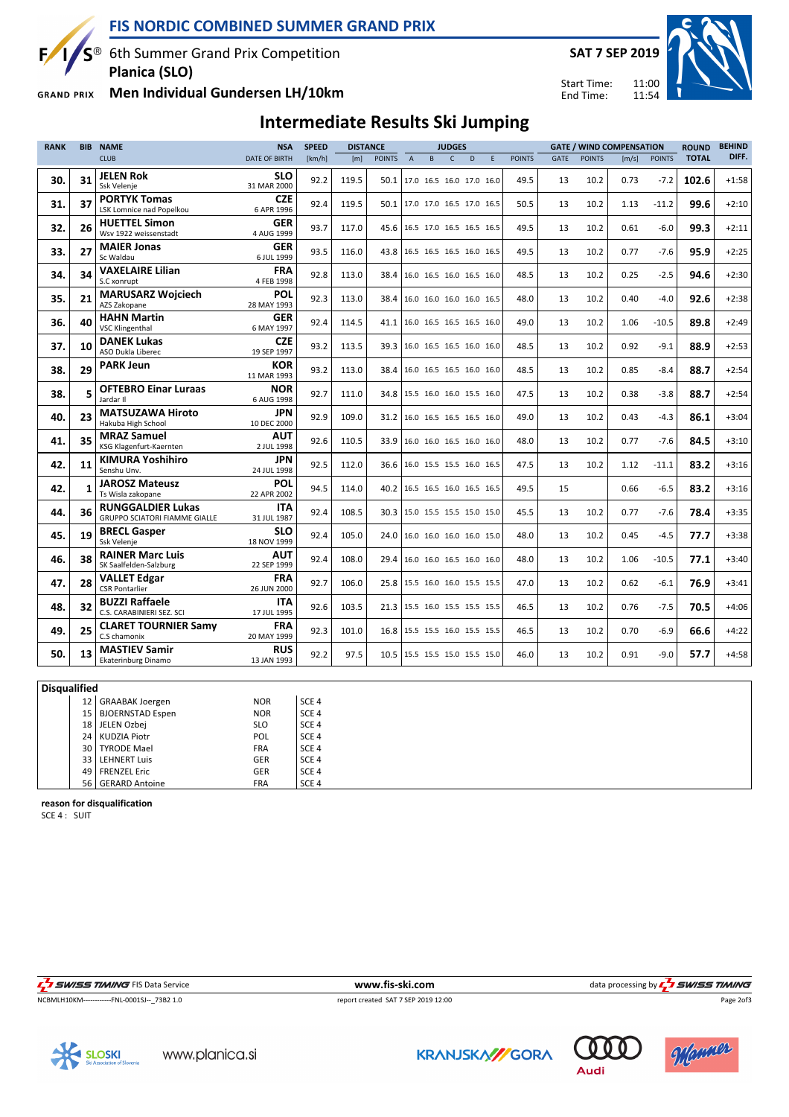

 $S^{\circledast}$  6th Summer Grand Prix Competition **Planica (SLO)**

**Men Individual Gundersen LH/10km GRAND PRIX** 

 $\mathbf{F}$ 



11:00 11:54 Start Time: End Time:



# **Intermediate Results Ski Jumping**

| <b>RANK</b> | <b>BIB</b>   | <b>NAME</b>                                               | <b>NSA</b>                | <b>SPEED</b> | <b>DISTANCE</b> |               |                | <b>JUDGES</b>                   |              |   |   | <b>GATE / WIND COMPENSATION</b> |             |               | <b>ROUND</b> | <b>BEHIND</b> |              |         |
|-------------|--------------|-----------------------------------------------------------|---------------------------|--------------|-----------------|---------------|----------------|---------------------------------|--------------|---|---|---------------------------------|-------------|---------------|--------------|---------------|--------------|---------|
|             |              | <b>CLUB</b>                                               | <b>DATE OF BIRTH</b>      | [km/h]       | [m]             | <b>POINTS</b> | $\overline{A}$ | R                               | $\mathsf{C}$ | D | F | <b>POINTS</b>                   | <b>GATE</b> | <b>POINTS</b> | [m/s]        | <b>POINTS</b> | <b>TOTAL</b> | DIFF.   |
| 30.         | 31           | <b>JELEN Rok</b><br>Ssk Velenje                           | <b>SLO</b><br>31 MAR 2000 | 92.2         | 119.5           | 50.1          |                | 17.0 16.5 16.0 17.0 16.0        |              |   |   | 49.5                            | 13          | 10.2          | 0.73         | $-7.2$        | 102.6        | $+1:58$ |
| 31.         | 37           | <b>PORTYK Tomas</b><br>LSK Lomnice nad Popelkou           | <b>CZE</b><br>6 APR 1996  | 92.4         | 119.5           | 50.1          |                | 17.0 17.0 16.5 17.0 16.5        |              |   |   | 50.5                            | 13          | 10.2          | 1.13         | $-11.2$       | 99.6         | $+2:10$ |
| 32.         | 26           | <b>HUETTEL Simon</b><br>Wsv 1922 weissenstadt             | <b>GER</b><br>4 AUG 1999  | 93.7         | 117.0           | 45.6          |                | 16.5 17.0 16.5 16.5 16.5        |              |   |   | 49.5                            | 13          | 10.2          | 0.61         | $-6.0$        | 99.3         | $+2:11$ |
| 33.         | 27           | <b>MAIER Jonas</b><br>Sc Waldau                           | <b>GER</b><br>6 JUL 1999  | 93.5         | 116.0           | 43.8          |                | 16.5 16.5 16.5 16.0 16.5        |              |   |   | 49.5                            | 13          | 10.2          | 0.77         | $-7.6$        | 95.9         | $+2:25$ |
| 34.         | 34           | <b>VAXELAIRE Lilian</b><br>S.C xonrupt                    | <b>FRA</b><br>4 FEB 1998  | 92.8         | 113.0           | 38.4          |                | 16.0 16.5 16.0 16.5 16.0        |              |   |   | 48.5                            | 13          | 10.2          | 0.25         | $-2.5$        | 94.6         | $+2:30$ |
| 35.         | 21           | <b>MARUSARZ Wojciech</b><br>AZS Zakopane                  | POL<br>28 MAY 1993        | 92.3         | 113.0           | 38.4          |                | 16.0 16.0 16.0 16.0 16.5        |              |   |   | 48.0                            | 13          | 10.2          | 0.40         | $-4.0$        | 92.6         | $+2:38$ |
| 36.         | 40           | <b>HAHN Martin</b><br><b>VSC Klingenthal</b>              | <b>GER</b><br>6 MAY 1997  | 92.4         | 114.5           | 41.1          |                | 16.0 16.5 16.5 16.5 16.0        |              |   |   | 49.0                            | 13          | 10.2          | 1.06         | $-10.5$       | 89.8         | $+2:49$ |
| 37.         | 10           | <b>DANEK Lukas</b><br>ASO Dukla Liberec                   | <b>CZE</b><br>19 SEP 1997 | 93.2         | 113.5           | 39.3          |                | 16.0 16.5 16.5 16.0 16.0        |              |   |   | 48.5                            | 13          | 10.2          | 0.92         | $-9.1$        | 88.9         | $+2:53$ |
| 38.         | 29           | <b>PARK Jeun</b>                                          | <b>KOR</b><br>11 MAR 1993 | 93.2         | 113.0           | 38.4          |                | 16.0 16.5 16.5 16.0 16.0        |              |   |   | 48.5                            | 13          | 10.2          | 0.85         | $-8.4$        | 88.7         | $+2:54$ |
| 38.         | 5            | <b>OFTEBRO Einar Luraas</b><br>Jardar II                  | <b>NOR</b><br>6 AUG 1998  | 92.7         | 111.0           |               |                | 34.8 15.5 16.0 16.0 15.5 16.0   |              |   |   | 47.5                            | 13          | 10.2          | 0.38         | $-3.8$        | 88.7         | $+2:54$ |
| 40.         | 23           | <b>MATSUZAWA Hiroto</b><br>Hakuba High School             | JPN<br>10 DEC 2000        | 92.9         | 109.0           | 31.2          |                | 16.0 16.5 16.5 16.5 16.0        |              |   |   | 49.0                            | 13          | 10.2          | 0.43         | $-4.3$        | 86.1         | $+3:04$ |
| 41.         | 35           | <b>MRAZ Samuel</b><br>KSG Klagenfurt-Kaernten             | <b>AUT</b><br>2 JUL 1998  | 92.6         | 110.5           | 33.9          |                | 16.0 16.0 16.5 16.0 16.0        |              |   |   | 48.0                            | 13          | 10.2          | 0.77         | $-7.6$        | 84.5         | $+3:10$ |
| 42.         | 11           | <b>KIMURA Yoshihiro</b><br>Senshu Unv.                    | <b>JPN</b><br>24 JUL 1998 | 92.5         | 112.0           |               |                | 36.6 16.0 15.5 15.5 16.0 16.5   |              |   |   | 47.5                            | 13          | 10.2          | 1.12         | $-11.1$       | 83.2         | $+3:16$ |
| 42.         | $\mathbf{1}$ | <b>JAROSZ Mateusz</b><br>Ts Wisla zakopane                | POL<br>22 APR 2002        | 94.5         | 114.0           | 40.2          |                | 16.5 16.5 16.0 16.5 16.5        |              |   |   | 49.5                            | 15          |               | 0.66         | $-6.5$        | 83.2         | $+3:16$ |
| 44.         | 36           | <b>RUNGGALDIER Lukas</b><br>GRUPPO SCIATORI FIAMME GIALLE | <b>ITA</b><br>31 JUL 1987 | 92.4         | 108.5           | 30.3          |                | 15.0 15.5 15.5 15.0 15.0        |              |   |   | 45.5                            | 13          | 10.2          | 0.77         | $-7.6$        | 78.4         | $+3:35$ |
| 45.         | 19           | <b>BRECL Gasper</b><br>Ssk Velenje                        | SLO<br>18 NOV 1999        | 92.4         | 105.0           |               |                | 24.0   16.0 16.0 16.0 16.0 15.0 |              |   |   | 48.0                            | 13          | 10.2          | 0.45         | $-4.5$        | 77.7         | $+3:38$ |
| 46.         | 38           | <b>RAINER Marc Luis</b><br>SK Saalfelden-Salzburg         | <b>AUT</b><br>22 SEP 1999 | 92.4         | 108.0           | 29.4          |                | 16.0 16.0 16.5 16.0 16.0        |              |   |   | 48.0                            | 13          | 10.2          | 1.06         | $-10.5$       | 77.1         | $+3:40$ |
| 47.         | 28           | <b>VALLET Edgar</b><br><b>CSR Pontarlier</b>              | <b>FRA</b><br>26 JUN 2000 | 92.7         | 106.0           | 25.8          |                | 15.5 16.0 16.0 15.5 15.5        |              |   |   | 47.0                            | 13          | 10.2          | 0.62         | $-6.1$        | 76.9         | $+3:41$ |
| 48.         | 32           | <b>BUZZI Raffaele</b><br>C.S. CARABINIERI SEZ. SCI        | <b>ITA</b><br>17 JUL 1995 | 92.6         | 103.5           |               |                | 21.3 15.5 16.0 15.5 15.5 15.5   |              |   |   | 46.5                            | 13          | 10.2          | 0.76         | $-7.5$        | 70.5         | $+4:06$ |
| 49.         | 25           | <b>CLARET TOURNIER Samy</b><br>C.S chamonix               | <b>FRA</b><br>20 MAY 1999 | 92.3         | 101.0           | 16.8          |                | 15.5 15.5 16.0 15.5 15.5        |              |   |   | 46.5                            | 13          | 10.2          | 0.70         | $-6.9$        | 66.6         | $+4:22$ |
| 50.         | 13           | <b>MASTIEV Samir</b><br>Ekaterinburg Dinamo               | <b>RUS</b><br>13 JAN 1993 | 92.2         | 97.5            |               |                | 10.5 15.5 15.5 15.0 15.5 15.0   |              |   |   | 46.0                            | 13          | 10.2          | 0.91         | $-9.0$        | 57.7         | $+4:58$ |
|             |              |                                                           |                           |              |                 |               |                |                                 |              |   |   |                                 |             |               |              |               |              |         |

**Disqualified**

|    | 12   GRAABAK Joergen  | <b>NOR</b> | SCE <sub>4</sub> |
|----|-----------------------|------------|------------------|
| 15 | BJOERNSTAD Espen      | <b>NOR</b> | SCE <sub>4</sub> |
| 18 | JELEN Ozbej           | <b>SLO</b> | SCE <sub>4</sub> |
| 24 | KUDZIA Piotr          | POL        | SCE <sub>4</sub> |
| 30 | TYRODE Mael           | <b>FRA</b> | SCE <sub>4</sub> |
| 33 | <b>LEHNERT Luis</b>   | GER        | SCE <sub>4</sub> |
| 49 | <b>FRENZEL Eric</b>   | GER        | SCE <sub>4</sub> |
| 56 | <b>GERARD Antoine</b> | <b>FRA</b> | SCE <sub>4</sub> |

**reason for disqualification**

SCE 4 : SUIT

NCBMLH10KM------------FNL-0001SJ--\_73B2 1.0 report created SAT 7 SEP 2019 12:00

THE SUNSES TIMING FIS Data Service **the Contract of Contract Automatic Service** www.fis-ski.com data processing by  $\frac{1}{2}$  SWISS TIMING

Page 2of3







**Audi**